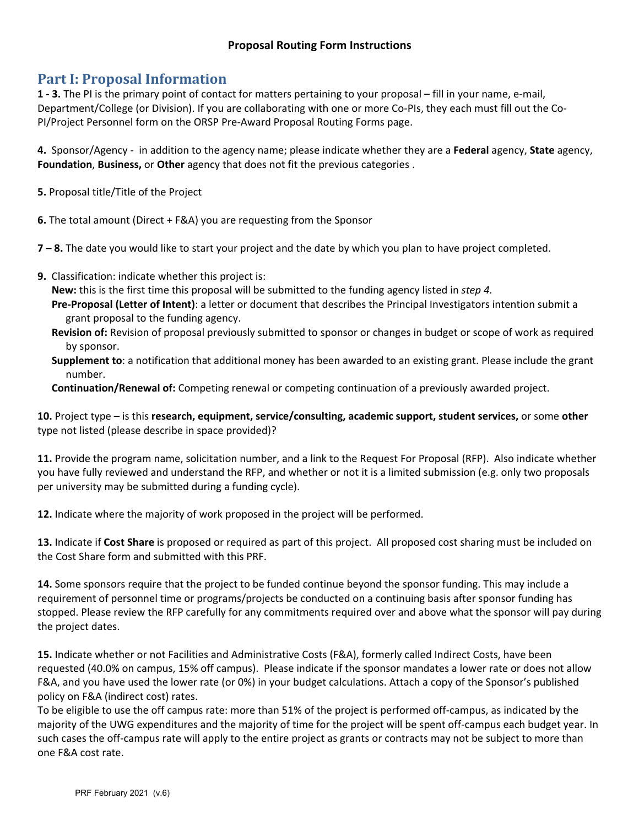## **Part I: Proposal Information**

**1 ‐ 3.** The PI is the primary point of contact for matters pertaining to your proposal – fill in your name, e‐mail, Department/College (or Division). If you are collaborating with one or more Co-PIs, they each must fill out the Co-PI/Project Personnel form on the ORSP Pre‐Award Proposal Routing Forms page.

**4.** Sponsor/Agency ‐ in addition to the agency name; please indicate whether they are a **Federal** agency, **State** agency, **Foundation**, **Business,** or **Other** agency that does not fit the previous categories .

**5.** Proposal title/Title of the Project

**6.** The total amount (Direct + F&A) you are requesting from the Sponsor

**7 – 8.** The date you would like to start your project and the date by which you plan to have project completed.

**9.** Classification: indicate whether this project is:

**New:** this is the first time this proposal will be submitted to the funding agency listed in *step 4.*

- **Pre‐Proposal (Letter of Intent)**: a letter or document that describes the Principal Investigators intention submit a grant proposal to the funding agency.
- **Revision of:** Revision of proposal previously submitted to sponsor or changes in budget or scope of work as required by sponsor.
- **Supplement to**: a notification that additional money has been awarded to an existing grant. Please include the grant number.

**Continuation/Renewal of:** Competing renewal or competing continuation of a previously awarded project.

**10.** Project type – is this **research, equipment, service/consulting, academic support, student services,** or some **other** type not listed (please describe in space provided)?

**11.** Provide the program name, solicitation number, and a link to the Request For Proposal (RFP). Also indicate whether you have fully reviewed and understand the RFP, and whether or not it is a limited submission (e.g. only two proposals per university may be submitted during a funding cycle).

**12.** Indicate where the majority of work proposed in the project will be performed.

**13.** Indicate if **Cost Share** is proposed or required as part of this project. All proposed cost sharing must be included on the Cost Share form and submitted with this PRF.

**14.** Some sponsors require that the project to be funded continue beyond the sponsor funding. This may include a requirement of personnel time or programs/projects be conducted on a continuing basis after sponsor funding has stopped. Please review the RFP carefully for any commitments required over and above what the sponsor will pay during the project dates.

**15.** Indicate whether or not Facilities and Administrative Costs (F&A), formerly called Indirect Costs, have been requested (40.0% on campus, 15% off campus). Please indicate if the sponsor mandates a lower rate or does not allow F&A, and you have used the lower rate (or 0%) in your budget calculations. Attach a copy of the Sponsor's published policy on F&A (indirect cost) rates.

To be eligible to use the off campus rate: more than 51% of the project is performed off‐campus, as indicated by the majority of the UWG expenditures and the majority of time for the project will be spent off-campus each budget year. In such cases the off-campus rate will apply to the entire project as grants or contracts may not be subject to more than one F&A cost rate.